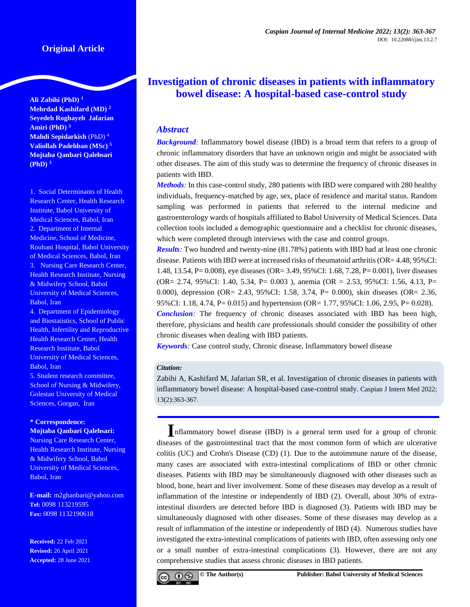**Ali Zabihi (PhD) <sup>1</sup> Mehrdad Kashifard (MD) <sup>2</sup> Seyedeh Roghayeh Jafarian Amiri (PhD) <sup>3</sup> Mahdi Sepidarkish** (PhD) <sup>4</sup> **Valiollah Padehban (MSc) <sup>5</sup> Mojtaba Qanbari Qalehsari (PhD) <sup>3</sup>**

1. Social Determinants of Health Research Center, Health Research Institute, Babol University of Medical Sciences, Babol, Iran 2. Department of Internal Medicine, School of Medicine, Rouhani Hospital, Babol University of Medical Sciences, Babol, Iran 3. Nursing Care Research Center, Health Research Institute, Nursing & Midwifery School, Babol University of Medical Sciences, Babol, Iran

4. Department of Epidemiology and Biostatistics, School of Public Health, Infertility and Reproductive Health Research Center, Health Research Institute, Babol University of Medical Sciences, Babol, Iran 5. Student research committee, School of Nursing & Midwifery,

Golestan University of Medical Sciences, Gorgan, Iran

#### **\* Correspondence: Mojtaba Qanbari Qalehsari:**

Nursing Care Research Center, Health Research Institute, Nursing & Midwifery School, Babol University of Medical Sciences, Babol, Iran

**E-mail:** m2ghanbari@yahoo.com **Tel:** 0098 113219595 **Fax:** 0098 1132190618

**Received:** 22 Feb 2021 **Revised:** 26 April 2021 **Accepted:** 28 June 2021

# **Investigation of chronic diseases in patients with inflammatory bowel disease: A hospital-based case-control study**

## *Abstract*

*Background:* Inflammatory bowel disease (IBD) is a broad term that refers to a group of chronic inflammatory disorders that have an unknown origin and might be associated with other diseases. The aim of this study was to determine the frequency of chronic diseases in patients with IBD.

*Methods:* In this case-control study, 280 patients with IBD were compared with 280 healthy individuals, frequency-matched by age, sex, place of residence and marital status. Random sampling was performed in patients that referred to the internal medicine and gastroenterology wards of hospitals affiliated to Babol University of Medical Sciences. Data collection tools included a demographic questionnaire and a checklist for chronic diseases, which were completed through interviews with the case and control groups.

*Results:* Two hundred and twenty-nine (81.78%) patients with IBD had at least one chronic disease. Patients with IBD were at increased risks of rheumatoid arthritis (OR= 4.48, 95%CI: 1.48, 13.54, P= 0.008), eye diseases (OR= 3.49, 95%CI: 1.68, 7.28, P= 0.001), liver diseases (OR= 2.74, 95%CI: 1.40, 5.34, P= 0.003 ), anemia (OR = 2.53, 95%CI: 1.56, 4.13, P= 0.000), depression (OR= 2.43, 95%CI: 1.58, 3.74, P= 0.000), skin diseases (OR= 2.36, 95%CI: 1.18, 4.74, P= 0.015) and hypertension (OR= 1.77, 95%CI: 1.06, 2.95, P= 0.028). *Conclusion:* The frequency of chronic diseases associated with IBD has been high, therefore, physicians and health care professionals should consider the possibility of other

*Keywords:* Case control study, Chronic disease, Inflammatory bowel disease

chronic diseases when dealing with IBD patients.

## *Citation:*

Zabihi A, Kashifard M, Jafarian SR, et al. Investigation of chronic diseases in patients with inflammatory bowel disease: A hospital-based case-control study. Caspian J Intern Med 2022; 13(2):363-367.

**I**nflammatory bowel disease (IBD) is a general term used for a group of chronic diseases of the gastrointestinal tract that the most common form of which are ulcerative colitis (UC) and Crohn's Disease (CD) (1). Due to the autoimmune nature of the disease, many cases are associated with extra-intestinal complications of IBD or other chronic diseases. Patients with IBD may be simultaneously diagnosed with other diseases such as blood, bone, heart and liver involvement. Some of these diseases may develop as a result of inflammation of the intestine or independently of IBD (2). Overall, about 30% of extraintestinal disorders are detected before IBD is diagnosed (3). Patients with IBD may be simultaneously diagnosed with other diseases. Some of these diseases may develop as a result of inflammation of the intestine or independently of IBD (4). Numerous studies have investigated the extra-intestinal complications of patients with IBD, often assessing only one or a small number of extra-intestinal complications (3). However, there are not any comprehensive studies that assess chronic diseases in IBD patients.

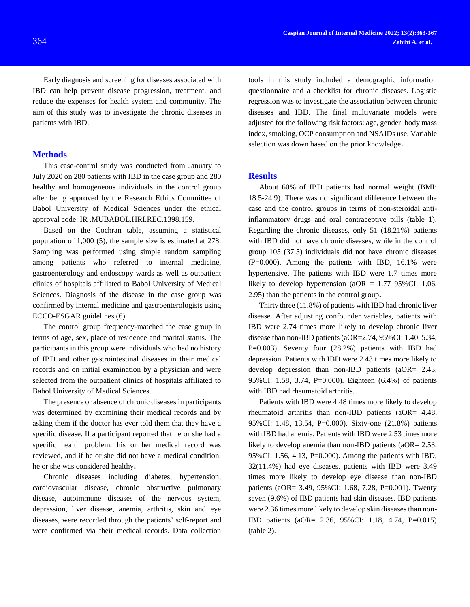Early diagnosis and screening for diseases associated with IBD can help prevent disease progression, treatment, and reduce the expenses for health system and community. The aim of this study was to investigate the chronic diseases in patients with IBD.

#### **Methods**

This case-control study was conducted from January to July 2020 on 280 patients with IBD in the case group and 280 healthy and homogeneous individuals in the control group after being approved by the Research Ethics Committee of Babol University of Medical Sciences under the ethical approval code: IR .MUBABOL.HRI.REC.1398.159.

Based on the Cochran table, assuming a statistical population of 1,000 (5), the sample size is estimated at 278. Sampling was performed using simple random sampling among patients who referred to internal medicine, gastroenterology and endoscopy wards as well as outpatient clinics of hospitals affiliated to Babol University of Medical Sciences. Diagnosis of the disease in the case group was confirmed by internal medicine and gastroenterologists using ECCO-ESGAR guidelines (6).

The control group frequency-matched the case group in terms of age, sex, place of residence and marital status. The participants in this group were individuals who had no history of IBD and other gastrointestinal diseases in their medical records and on initial examination by a physician and were selected from the outpatient clinics of hospitals affiliated to Babol University of Medical Sciences.

The presence or absence of chronic diseases in participants was determined by examining their medical records and by asking them if the doctor has ever told them that they have a specific disease. If a participant reported that he or she had a specific health problem, his or her medical record was reviewed, and if he or she did not have a medical condition, he or she was considered healthy**.**

Chronic diseases including diabetes, hypertension, cardiovascular disease, chronic obstructive pulmonary disease, autoimmune diseases of the nervous system, depression, liver disease, anemia, arthritis, skin and eye diseases, were recorded through the patients' self-report and were confirmed via their medical records. Data collection

tools in this study included a demographic information questionnaire and a checklist for chronic diseases. Logistic regression was to investigate the association between chronic diseases and IBD. The final multivariate models were adjusted for the following risk factors: age, gender, body mass index, smoking, OCP consumption and NSAIDs use. Variable selection was down based on the prior knowledge**.**

#### **Results**

About 60% of IBD patients had normal weight (BMI: 18.5-24.9). There was no significant difference between the case and the control groups in terms of non-steroidal antiinflammatory drugs and oral contraceptive pills (table 1). Regarding the chronic diseases, only 51 (18.21%) patients with IBD did not have chronic diseases, while in the control group 105 (37.5) individuals did not have chronic diseases  $(P=0.000)$ . Among the patients with IBD, 16.1% were hypertensive. The patients with IBD were 1.7 times more likely to develop hypertension ( $aOR = 1.77$  95%CI: 1.06, 2.95) than the patients in the control group**.**

Thirty three (11.8%) of patients with IBD had chronic liver disease. After adjusting confounder variables, patients with IBD were 2.74 times more likely to develop chronic liver disease than non-IBD patients (aOR=2.74, 95%CI: 1.40, 5.34, P=0.003). Seventy four (28.2%) patients with IBD had depression. Patients with IBD were 2.43 times more likely to develop depression than non-IBD patients (aOR= 2.43, 95%CI: 1.58, 3.74, P=0.000). Eighteen (6.4%) of patients with IBD had rheumatoid arthritis.

Patients with IBD were 4.48 times more likely to develop rheumatoid arthritis than non-IBD patients (aOR= 4.48, 95%CI: 1.48, 13.54, P=0.000). Sixty-one (21.8%) patients with IBD had anemia. Patients with IBD were 2.53 times more likely to develop anemia than non-IBD patients ( $aOR = 2.53$ , 95%CI: 1.56, 4.13, P=0.000). Among the patients with IBD, 32(11.4%) had eye diseases. patients with IBD were 3.49 times more likely to develop eye disease than non-IBD patients (aOR= 3.49, 95%CI: 1.68, 7.28, P=0.001). Twenty seven (9.6%) of IBD patients had skin diseases. IBD patients were 2.36 times more likely to develop skin diseases than non-IBD patients (aOR= 2.36, 95%CI: 1.18, 4.74, P=0.015) (table 2**(**.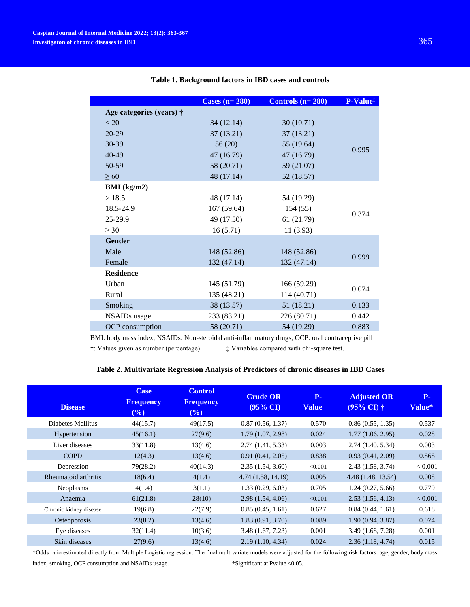|                          | Cases $(n=280)$ | Controls $(n=280)$ | P-Value <sup>#</sup> |  |  |
|--------------------------|-----------------|--------------------|----------------------|--|--|
| Age categories (years) † |                 |                    |                      |  |  |
| < 20                     | 34(12.14)       | 30(10.71)          |                      |  |  |
| $20 - 29$                | 37(13.21)       | 37 (13.21)         |                      |  |  |
| 30-39                    | 56(20)          | 55 (19.64)         | 0.995                |  |  |
| 40-49                    | 47(16.79)       | 47 (16.79)         |                      |  |  |
| 50-59                    | 58 (20.71)      | 59 (21.07)         |                      |  |  |
| $\geq 60$                | 48 (17.14)      | 52 (18.57)         |                      |  |  |
| BMI (kg/m2)              |                 |                    |                      |  |  |
| >18.5                    | 48 (17.14)      | 54 (19.29)         |                      |  |  |
| 18.5-24.9                | 167(59.64)      | 154(55)            |                      |  |  |
| 25-29.9                  | 49 (17.50)      | 61 (21.79)         | 0.374                |  |  |
| $>$ 30                   | 16(5.71)        | 11(3.93)           |                      |  |  |
| <b>Gender</b>            |                 |                    |                      |  |  |
| Male                     | 148 (52.86)     | 148 (52.86)        | 0.999                |  |  |
| Female                   | 132 (47.14)     | 132 (47.14)        |                      |  |  |
| <b>Residence</b>         |                 |                    |                      |  |  |
| Urban                    | 145 (51.79)     | 166 (59.29)        | 0.074                |  |  |
| Rural                    | 135 (48.21)     | 114 (40.71)        |                      |  |  |
| Smoking                  | 38 (13.57)      | 51 (18.21)         | 0.133                |  |  |
| <b>NSAIDs</b> usage      | 233 (83.21)     | 226 (80.71)        | 0.442                |  |  |
| OCP consumption          | 58 (20.71)      | 54 (19.29)         | 0.883                |  |  |
|                          |                 |                    |                      |  |  |

## **Table 1. Background factors in IBD cases and controls**

BMI: body mass index; NSAIDs: Non-steroidal anti-inflammatory drugs; OCP: oral contraceptive pill

†: Values given as number (percentage) ‡ Variables compared with chi-square test.

### **Table 2. Multivariate Regression Analysis of Predictors of chronic diseases in IBD Cases**

|                        | <b>Case</b>                | <b>Control</b>          | <b>Crude OR</b>     | $P-$         | <b>Adjusted OR</b>             | $P-$    |
|------------------------|----------------------------|-------------------------|---------------------|--------------|--------------------------------|---------|
| <b>Disease</b>         | <b>Frequency</b><br>$(\%)$ | <b>Frequency</b><br>(%) | $(95\% \text{ CI})$ | <b>Value</b> | $(95\% \,\mathrm{CI}) \dagger$ | Value*  |
| Diabetes Mellitus      | 44(15.7)                   | 49(17.5)                | 0.87(0.56, 1.37)    | 0.570        | 0.86(0.55, 1.35)               | 0.537   |
| Hypertension           | 45(16.1)                   | 27(9.6)                 | 1.79 (1.07, 2.98)   | 0.024        | 1.77(1.06, 2.95)               | 0.028   |
| Liver diseases         | 33(11.8)                   | 13(4.6)                 | 2.74(1.41, 5.33)    | 0.003        | 2.74 (1.40, 5.34)              | 0.003   |
| <b>COPD</b>            | 12(4.3)                    | 13(4.6)                 | 0.91(0.41, 2.05)    | 0.838        | 0.93(0.41, 2.09)               | 0.868   |
| Depression             | 79(28.2)                   | 40(14.3)                | 2.35(1.54, 3.60)    | < 0.001      | 2.43 (1.58, 3.74)              | < 0.001 |
| Rheumatoid arthritis   | 18(6.4)                    | 4(1.4)                  | 4.74 (1.58, 14.19)  | 0.005        | 4.48 (1.48, 13.54)             | 0.008   |
| <b>Neoplasms</b>       | 4(1.4)                     | 3(1.1)                  | 1.33(0.29, 6.03)    | 0.705        | 1.24(0.27, 5.66)               | 0.779   |
| Anaemia                | 61(21.8)                   | 28(10)                  | 2.98(1.54, 4.06)    | < 0.001      | 2.53(1.56, 4.13)               | < 0.001 |
| Chronic kidney disease | 19(6.8)                    | 22(7.9)                 | 0.85(0.45, 1.61)    | 0.627        | 0.84(0.44, 1.61)               | 0.618   |
| <b>Osteoporosis</b>    | 23(8.2)                    | 13(4.6)                 | 1.83(0.91, 3.70)    | 0.089        | 1.90(0.94, 3.87)               | 0.074   |
| Eye diseases           | 32(11.4)                   | 10(3.6)                 | 3.48 (1.67, 7.23)   | 0.001        | 3.49 (1.68, 7.28)              | 0.001   |
| Skin diseases          | 27(9.6)                    | 13(4.6)                 | 2.19(1.10, 4.34)    | 0.024        | 2.36(1.18, 4.74)               | 0.015   |

†Odds ratio estimated directly from Multiple Logistic regression. The final multivariate models were adjusted for the following risk factors: age, gender, body mass index, smoking, OCP consumption and NSAIDs usage. \*\* Significant at Pvalue <0.05.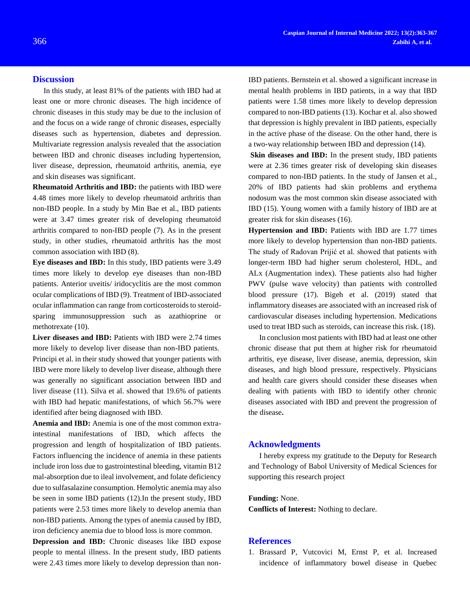## **Discussion**

In this study, at least 81% of the patients with IBD had at least one or more chronic diseases. The high incidence of chronic diseases in this study may be due to the inclusion of and the focus on a wide range of chronic diseases, especially diseases such as hypertension, diabetes and depression. Multivariate regression analysis revealed that the association between IBD and chronic diseases including hypertension, liver disease, depression, rheumatoid arthritis, anemia, eye and skin diseases was significant.

**Rheumatoid Arthritis and IBD:** the patients with IBD were 4.48 times more likely to develop rheumatoid arthritis than non-IBD people. In a study by Min Bae et al., IBD patients were at 3.47 times greater risk of developing rheumatoid arthritis compared to non-IBD people (7). As in the present study, in other studies, rheumatoid arthritis has the most common association with IBD (8).

**Eye diseases and IBD:** In this study, IBD patients were 3.49 times more likely to develop eye diseases than non-IBD patients. Anterior uveitis/ iridocyclitis are the most common ocular complications of IBD (9). Treatment of IBD-associated ocular inflammation can range from corticosteroids to steroidsparing immunosuppression such as azathioprine or methotrexate (10).

Liver diseases and IBD: Patients with IBD were 2.74 times more likely to develop liver disease than non-IBD patients. Principi et al. in their study showed that younger patients with IBD were more likely to develop liver disease, although there was generally no significant association between IBD and liver disease (11). Silva et al. showed that 19.6% of patients with IBD had hepatic manifestations, of which 56.7% were identified after being diagnosed with IBD.

**Anemia and IBD:** Anemia is one of the most common extraintestinal manifestations of IBD, which affects the progression and length of hospitalization of IBD patients. Factors influencing the incidence of anemia in these patients include iron loss due to gastrointestinal bleeding, vitamin B12 mal-absorption due to ileal involvement, and folate deficiency due to sulfasalazine consumption. Hemolytic anemia may also be seen in some IBD patients (12).In the present study, IBD patients were 2.53 times more likely to develop anemia than non-IBD patients. Among the types of anemia caused by IBD, iron deficiency anemia due to blood loss is more common.

**Depression and IBD:** Chronic diseases like IBD expose people to mental illness. In the present study, IBD patients were 2.43 times more likely to develop depression than nonIBD patients. Bernstein et al. showed a significant increase in mental health problems in IBD patients, in a way that IBD patients were 1.58 times more likely to develop depression compared to non-IBD patients (13). Kochar et al. also showed that depression is highly prevalent in IBD patients, especially in the active phase of the disease. On the other hand, there is a two-way relationship between IBD and depression (14).

**Skin diseases and IBD:** In the present study, IBD patients were at 2.36 times greater risk of developing skin diseases compared to non-IBD patients. In the study of Jansen et al., 20% of IBD patients had skin problems and erythema nodosum was the most common skin disease associated with IBD (15). Young women with a family history of IBD are at greater risk for skin diseases (16).

**Hypertension and IBD:** Patients with IBD are 1.77 times more likely to develop hypertension than non-IBD patients. The study of Radovan Prijić et al. showed that patients with longer-term IBD had higher serum cholesterol, HDL, and ALx (Augmentation index). These patients also had higher PWV (pulse wave velocity) than patients with controlled blood pressure (17). Bigeh et al. (2019) stated that inflammatory diseases are associated with an increased risk of cardiovascular diseases including hypertension. Medications used to treat IBD such as steroids, can increase this risk. (18).

In conclusion most patients with IBD had at least one other chronic disease that put them at higher risk for rheumatoid arthritis, eye disease, liver disease, anemia, depression, skin diseases, and high blood pressure, respectively. Physicians and health care givers should consider these diseases when dealing with patients with IBD to identify other chronic diseases associated with IBD and prevent the progression of the disease**.**

### **Acknowledgments**

I hereby express my gratitude to the Deputy for Research and Technology of Babol University of Medical Sciences for supporting this research project

#### **Funding:** None.

**Conflicts of Interest:** Nothing to declare.

### **References**

1. Brassard P, Vutcovici M, Ernst P, et al. Increased incidence of inflammatory bowel disease in Quebec